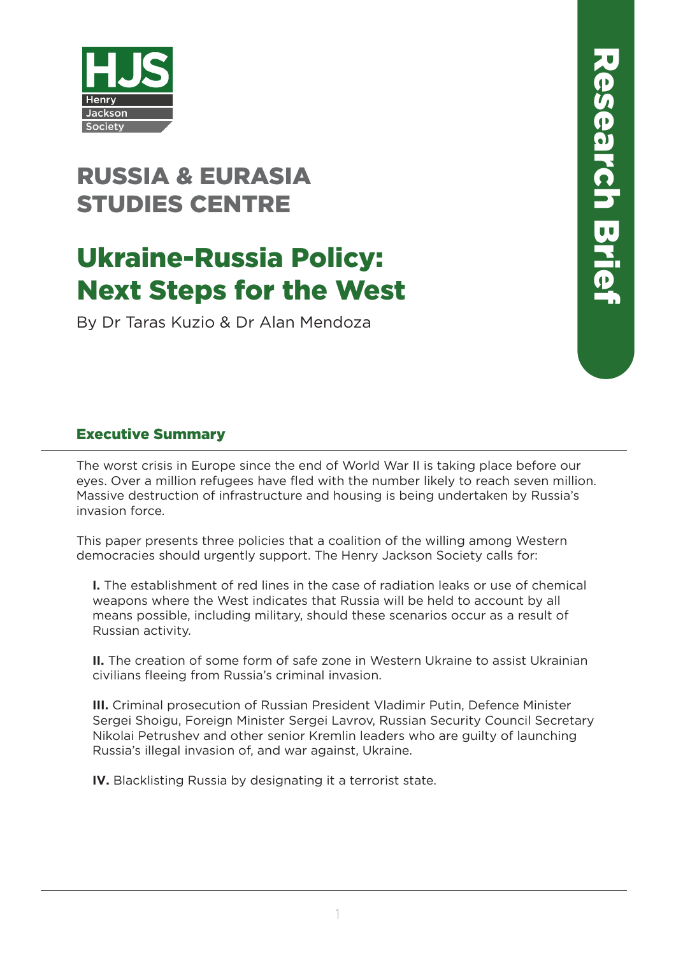

## RUSSIA & EURASIA STUDIES CENTRE

# Ukraine-Russia Policy: Next Steps for the West

By Dr Taras Kuzio & Dr Alan Mendoza

### Executive Summary

The worst crisis in Europe since the end of World War II is taking place before our eyes. Over a million refugees have fled with the number likely to reach seven million. Massive destruction of infrastructure and housing is being undertaken by Russia's invasion force.

This paper presents three policies that a coalition of the willing among Western democracies should urgently support. The Henry Jackson Society calls for:

**I.** The establishment of red lines in the case of radiation leaks or use of chemical weapons where the West indicates that Russia will be held to account by all means possible, including military, should these scenarios occur as a result of Russian activity.

**II.** The creation of some form of safe zone in Western Ukraine to assist Ukrainian civilians fleeing from Russia's criminal invasion.

**III.** Criminal prosecution of Russian President Vladimir Putin, Defence Minister Sergei Shoigu, Foreign Minister Sergei Lavrov, Russian Security Council Secretary Nikolai Petrushev and other senior Kremlin leaders who are guilty of launching Russia's illegal invasion of, and war against, Ukraine.

**IV.** Blacklisting Russia by designating it a terrorist state.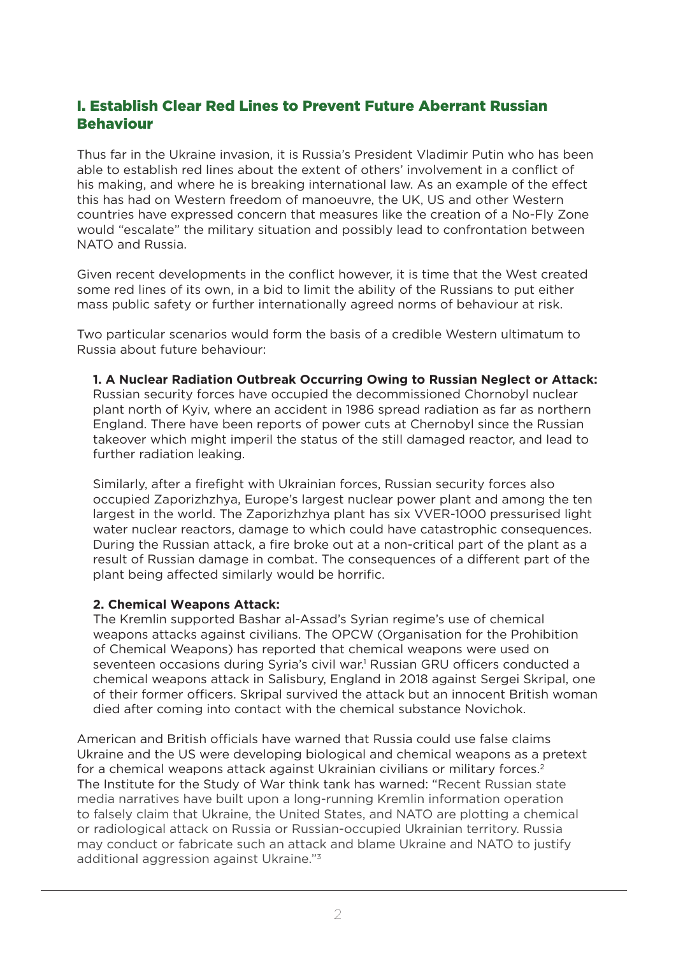## I. Establish Clear Red Lines to Prevent Future Aberrant Russian Behaviour

Thus far in the Ukraine invasion, it is Russia's President Vladimir Putin who has been able to establish red lines about the extent of others' involvement in a conflict of his making, and where he is breaking international law. As an example of the effect this has had on Western freedom of manoeuvre, the UK, US and other Western countries have expressed concern that measures like the creation of a No-Fly Zone would "escalate" the military situation and possibly lead to confrontation between NATO and Russia.

Given recent developments in the conflict however, it is time that the West created some red lines of its own, in a bid to limit the ability of the Russians to put either mass public safety or further internationally agreed norms of behaviour at risk.

Two particular scenarios would form the basis of a credible Western ultimatum to Russia about future behaviour:

**1. A Nuclear Radiation Outbreak Occurring Owing to Russian Neglect or Attack:**  Russian security forces have occupied the decommissioned Chornobyl nuclear plant north of Kyiv, where an accident in 1986 spread radiation as far as northern England. There have been reports of power cuts at Chernobyl since the Russian takeover which might imperil the status of the still damaged reactor, and lead to further radiation leaking.

Similarly, after a firefight with Ukrainian forces, Russian security forces also occupied Zaporizhzhya, Europe's largest nuclear power plant and among the ten largest in the world. The Zaporizhzhya plant has six VVER-1000 pressurised light water nuclear reactors, damage to which could have catastrophic consequences. During the Russian attack, a fire broke out at a non-critical part of the plant as a result of Russian damage in combat. The consequences of a different part of the plant being affected similarly would be horrific.

#### **2. Chemical Weapons Attack:**

The Kremlin supported Bashar al-Assad's Syrian regime's use of chemical weapons attacks against civilians. The OPCW (Organisation for the Prohibition of Chemical Weapons) has reported that chemical weapons were used on seventeen occasions during Syria's civil war.<sup>1</sup> Russian GRU officers conducted a chemical weapons attack in Salisbury, England in 2018 against Sergei Skripal, one of their former officers. Skripal survived the attack but an innocent British woman died after coming into contact with the chemical substance Novichok.

American and British officials have warned that Russia could use false claims Ukraine and the US were developing biological and chemical weapons as a pretext for a chemical weapons attack against Ukrainian civilians or military forces.<sup>2</sup> The Institute for the Study of War think tank has warned: "Recent Russian state media narratives have built upon a long-running Kremlin information operation to falsely claim that Ukraine, the United States, and NATO are plotting a chemical or radiological attack on Russia or Russian-occupied Ukrainian territory. Russia may conduct or fabricate such an attack and blame Ukraine and NATO to justify additional aggression against Ukraine."3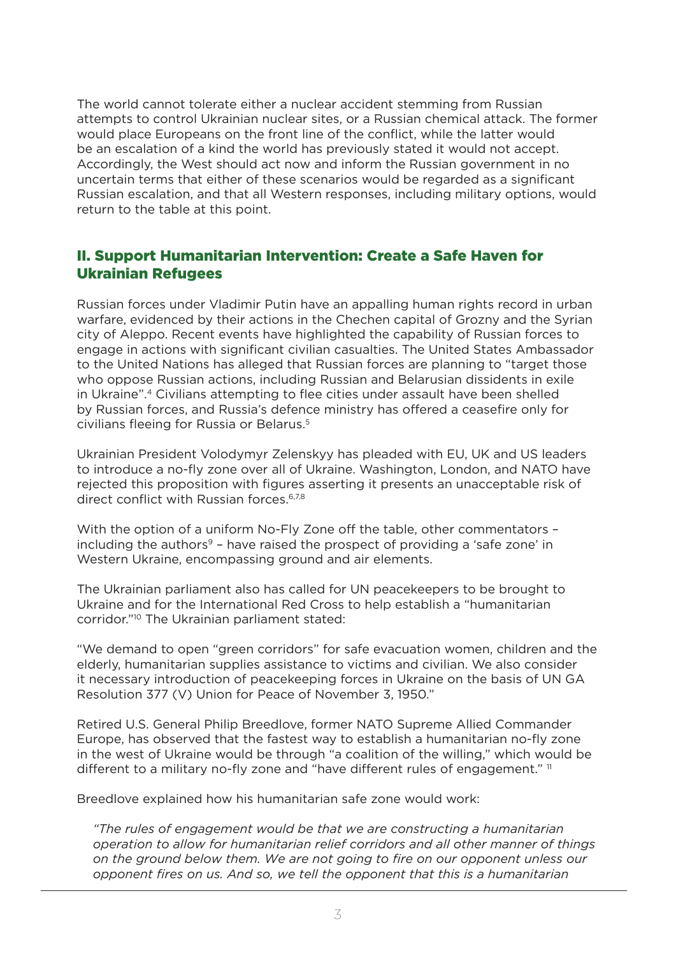The world cannot tolerate either a nuclear accident stemming from Russian attempts to control Ukrainian nuclear sites, or a Russian chemical attack. The former would place Europeans on the front line of the conflict, while the latter would be an escalation of a kind the world has previously stated it would not accept. Accordingly, the West should act now and inform the Russian government in no uncertain terms that either of these scenarios would be regarded as a significant Russian escalation, and that all Western responses, including military options, would return to the table at this point.

#### II. Support Humanitarian Intervention: Create a Safe Haven for Ukrainian Refugees

Russian forces under Vladimir Putin have an appalling human rights record in urban warfare, evidenced by their actions in the Chechen capital of Grozny and the Syrian city of Aleppo. Recent events have highlighted the capability of Russian forces to engage in actions with significant civilian casualties. The United States Ambassador to the United Nations has alleged that Russian forces are planning to "target those who oppose Russian actions, including Russian and Belarusian dissidents in exile in Ukraine".4 Civilians attempting to flee cities under assault have been shelled by Russian forces, and Russia's defence ministry has offered a ceasefire only for civilians fleeing for Russia or Belarus.<sup>5</sup>

Ukrainian President Volodymyr Zelenskyy has pleaded with EU, UK and US leaders to introduce a no-fly zone over all of Ukraine. Washington, London, and NATO have rejected this proposition with figures asserting it presents an unacceptable risk of direct conflict with Russian forces.<sup>6,7,8</sup>

With the option of a uniform No-Fly Zone off the table, other commentators – including the authors<sup>9</sup> – have raised the prospect of providing a 'safe zone' in Western Ukraine, encompassing ground and air elements.

The Ukrainian parliament also has called for UN peacekeepers to be brought to Ukraine and for the International Red Cross to help establish a "humanitarian corridor."10 The Ukrainian parliament stated:

"We demand to open "green corridors" for safe evacuation women, children and the elderly, humanitarian supplies assistance to victims and civilian. We also consider it necessary introduction of peacekeeping forces in Ukraine on the basis of UN GA Resolution 377 (V) Union for Peace of November 3, 1950."

Retired U.S. General Philip Breedlove, former NATO Supreme Allied Commander Europe, has observed that the fastest way to establish a humanitarian no-fly zone in the west of Ukraine would be through "a coalition of the willing," which would be different to a military no-fly zone and "have different rules of engagement." "

Breedlove explained how his humanitarian safe zone would work:

*"The rules of engagement would be that we are constructing a humanitarian operation to allow for humanitarian relief corridors and all other manner of things on the ground below them. We are not going to fire on our opponent unless our opponent fires on us. And so, we tell the opponent that this is a humanitarian*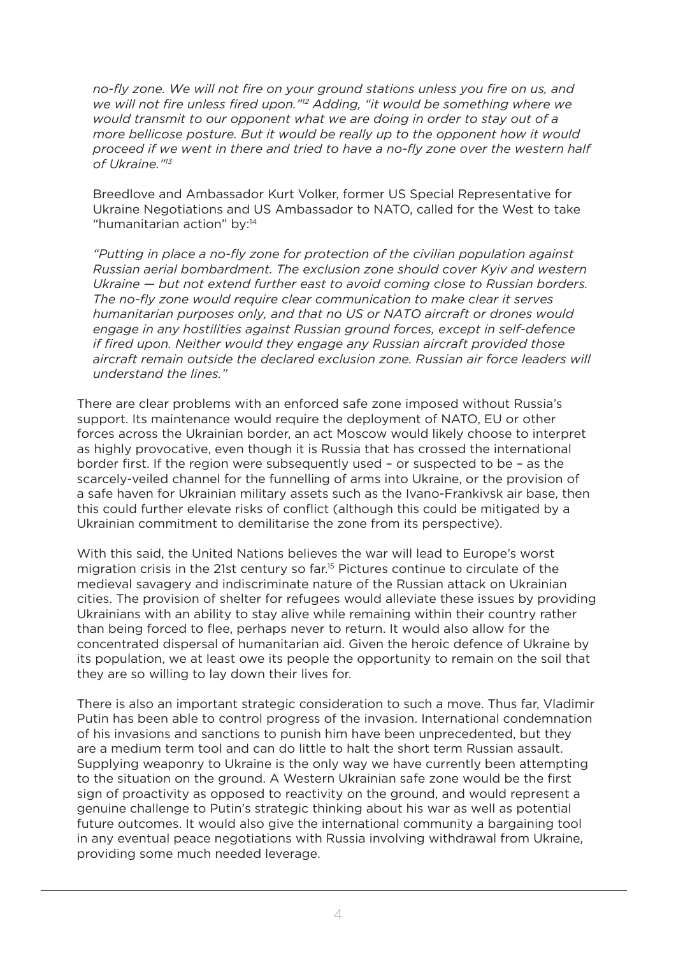*no-fly zone. We will not fire on your ground stations unless you fire on us, and we will not fire unless fired upon."12 Adding, "it would be something where we would transmit to our opponent what we are doing in order to stay out of a more bellicose posture. But it would be really up to the opponent how it would proceed if we went in there and tried to have a no-fly zone over the western half of Ukraine."<sup>13</sup>*

Breedlove and Ambassador Kurt Volker, former US Special Representative for Ukraine Negotiations and US Ambassador to NATO, called for the West to take "humanitarian action" by:14

*"Putting in place a no-fly zone for protection of the civilian population against Russian aerial bombardment. The exclusion zone should cover Kyiv and western Ukraine — but not extend further east to avoid coming close to Russian borders. The no-fly zone would require clear communication to make clear it serves humanitarian purposes only, and that no US or NATO aircraft or drones would engage in any hostilities against Russian ground forces, except in self-defence if fired upon. Neither would they engage any Russian aircraft provided those aircraft remain outside the declared exclusion zone. Russian air force leaders will understand the lines."*

There are clear problems with an enforced safe zone imposed without Russia's support. Its maintenance would require the deployment of NATO, EU or other forces across the Ukrainian border, an act Moscow would likely choose to interpret as highly provocative, even though it is Russia that has crossed the international border first. If the region were subsequently used – or suspected to be – as the scarcely-veiled channel for the funnelling of arms into Ukraine, or the provision of a safe haven for Ukrainian military assets such as the Ivano-Frankivsk air base, then this could further elevate risks of conflict (although this could be mitigated by a Ukrainian commitment to demilitarise the zone from its perspective).

With this said, the United Nations believes the war will lead to Europe's worst migration crisis in the 21st century so far.15 Pictures continue to circulate of the medieval savagery and indiscriminate nature of the Russian attack on Ukrainian cities. The provision of shelter for refugees would alleviate these issues by providing Ukrainians with an ability to stay alive while remaining within their country rather than being forced to flee, perhaps never to return. It would also allow for the concentrated dispersal of humanitarian aid. Given the heroic defence of Ukraine by its population, we at least owe its people the opportunity to remain on the soil that they are so willing to lay down their lives for.

There is also an important strategic consideration to such a move. Thus far, Vladimir Putin has been able to control progress of the invasion. International condemnation of his invasions and sanctions to punish him have been unprecedented, but they are a medium term tool and can do little to halt the short term Russian assault. Supplying weaponry to Ukraine is the only way we have currently been attempting to the situation on the ground. A Western Ukrainian safe zone would be the first sign of proactivity as opposed to reactivity on the ground, and would represent a genuine challenge to Putin's strategic thinking about his war as well as potential future outcomes. It would also give the international community a bargaining tool in any eventual peace negotiations with Russia involving withdrawal from Ukraine, providing some much needed leverage.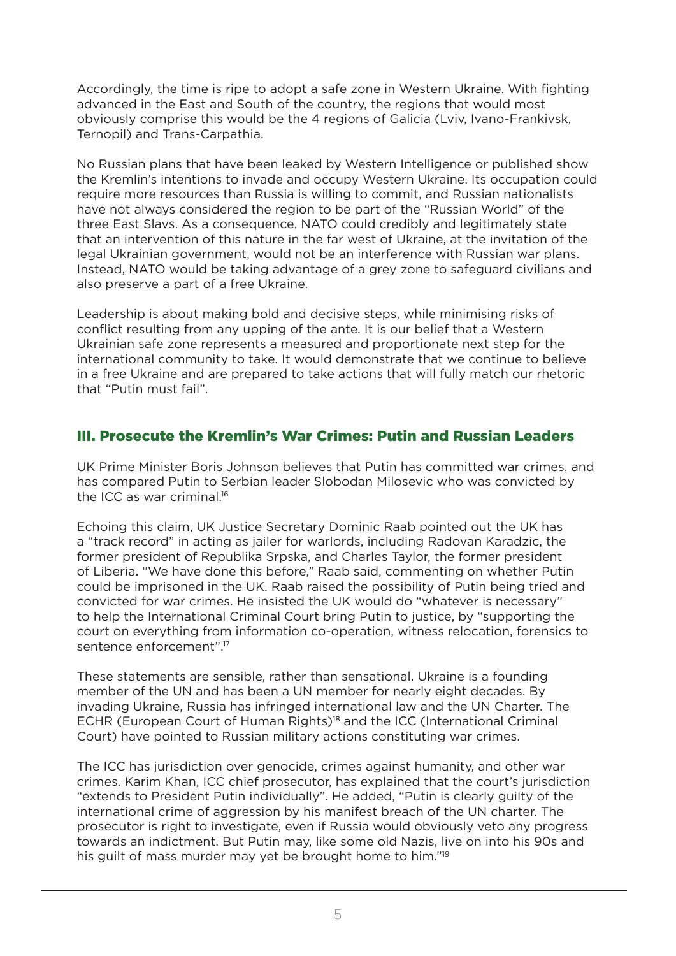Accordingly, the time is ripe to adopt a safe zone in Western Ukraine. With fighting advanced in the East and South of the country, the regions that would most obviously comprise this would be the 4 regions of Galicia (Lviv, Ivano-Frankivsk, Ternopil) and Trans-Carpathia.

No Russian plans that have been leaked by Western Intelligence or published show the Kremlin's intentions to invade and occupy Western Ukraine. Its occupation could require more resources than Russia is willing to commit, and Russian nationalists have not always considered the region to be part of the "Russian World" of the three East Slavs. As a consequence, NATO could credibly and legitimately state that an intervention of this nature in the far west of Ukraine, at the invitation of the legal Ukrainian government, would not be an interference with Russian war plans. Instead, NATO would be taking advantage of a grey zone to safeguard civilians and also preserve a part of a free Ukraine.

Leadership is about making bold and decisive steps, while minimising risks of conflict resulting from any upping of the ante. It is our belief that a Western Ukrainian safe zone represents a measured and proportionate next step for the international community to take. It would demonstrate that we continue to believe in a free Ukraine and are prepared to take actions that will fully match our rhetoric that "Putin must fail".

#### III. Prosecute the Kremlin's War Crimes: Putin and Russian Leaders

UK Prime Minister Boris Johnson believes that Putin has committed war crimes, and has compared Putin to Serbian leader Slobodan Milosevic who was convicted by the ICC as war criminal.16

Echoing this claim, UK Justice Secretary Dominic Raab pointed out the UK has a "track record" in acting as jailer for warlords, including Radovan Karadzic, the former president of Republika Srpska, and Charles Taylor, the former president of Liberia. "We have done this before," Raab said, commenting on whether Putin could be imprisoned in the UK. Raab raised the possibility of Putin being tried and convicted for war crimes. He insisted the UK would do "whatever is necessary" to help the International Criminal Court bring Putin to justice, by "supporting the court on everything from information co-operation, witness relocation, forensics to sentence enforcement".17

These statements are sensible, rather than sensational. Ukraine is a founding member of the UN and has been a UN member for nearly eight decades. By invading Ukraine, Russia has infringed international law and the UN Charter. The ECHR (European Court of Human Rights)<sup>18</sup> and the ICC (International Criminal Court) have pointed to Russian military actions constituting war crimes.

The ICC has jurisdiction over genocide, crimes against humanity, and other war crimes. Karim Khan, ICC chief prosecutor, has explained that the court's jurisdiction "extends to President Putin individually". He added, "Putin is clearly guilty of the international crime of aggression by his manifest breach of the UN charter. The prosecutor is right to investigate, even if Russia would obviously veto any progress towards an indictment. But Putin may, like some old Nazis, live on into his 90s and his quilt of mass murder may yet be brought home to him."<sup>19</sup>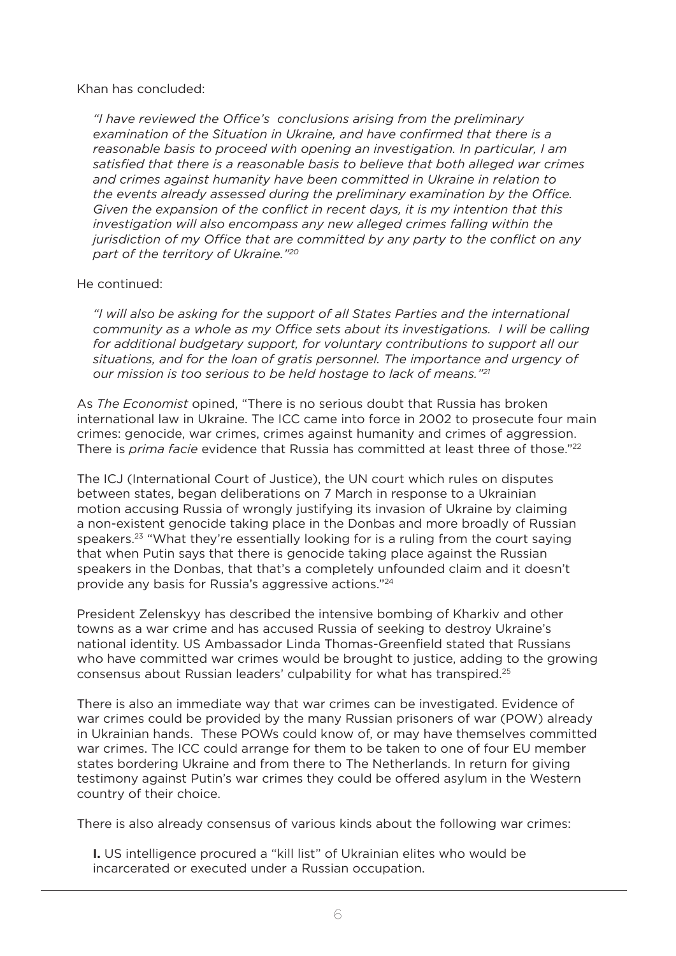#### Khan has concluded:

*"I have reviewed the Office's conclusions arising from the preliminary examination of the Situation in Ukraine, and have confirmed that there is a reasonable basis to proceed with opening an investigation. In particular, I am satisfied that there is a reasonable basis to believe that both alleged war crimes and crimes against humanity have been committed in Ukraine in relation to the events already assessed during the preliminary examination by the Office. Given the expansion of the conflict in recent days, it is my intention that this investigation will also encompass any new alleged crimes falling within the jurisdiction of my Office that are committed by any party to the conflict on any part of the territory of Ukraine."<sup>20</sup>*

#### He continued:

*"I will also be asking for the support of all States Parties and the international community as a whole as my Office sets about its investigations. I will be calling for additional budgetary support, for voluntary contributions to support all our situations, and for the loan of gratis personnel. The importance and urgency of our mission is too serious to be held hostage to lack of means."<sup>21</sup>*

As *The Economist* opined, "There is no serious doubt that Russia has broken international law in Ukraine. The ICC came into force in 2002 to prosecute four main crimes: genocide, war crimes, crimes against humanity and crimes of aggression. There is *prima facie* evidence that Russia has committed at least three of those."<sup>22</sup>

The ICJ (International Court of Justice), the UN court which rules on disputes between states, began deliberations on 7 March in response to a Ukrainian motion accusing Russia of wrongly justifying its invasion of Ukraine by claiming a non-existent genocide taking place in the Donbas and more broadly of Russian speakers.<sup>23</sup> "What they're essentially looking for is a ruling from the court saying that when Putin says that there is genocide taking place against the Russian speakers in the Donbas, that that's a completely unfounded claim and it doesn't provide any basis for Russia's aggressive actions."24

President Zelenskyy has described the intensive bombing of Kharkiv and other towns as a war crime and has accused Russia of seeking to destroy Ukraine's national identity. US Ambassador Linda Thomas-Greenfield stated that Russians who have committed war crimes would be brought to justice, adding to the growing consensus about Russian leaders' culpability for what has transpired.25

There is also an immediate way that war crimes can be investigated. Evidence of war crimes could be provided by the many Russian prisoners of war (POW) already in Ukrainian hands. These POWs could know of, or may have themselves committed war crimes. The ICC could arrange for them to be taken to one of four EU member states bordering Ukraine and from there to The Netherlands. In return for giving testimony against Putin's war crimes they could be offered asylum in the Western country of their choice.

There is also already consensus of various kinds about the following war crimes:

**I.** US intelligence procured a "kill list" of Ukrainian elites who would be incarcerated or executed under a Russian occupation.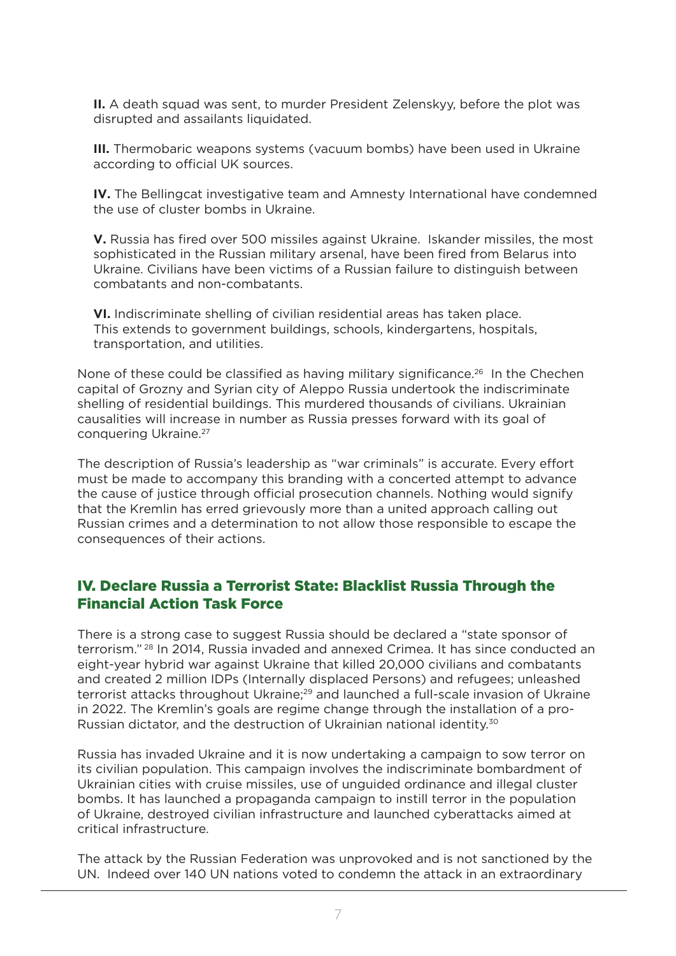**II.** A death squad was sent, to murder President Zelenskyy, before the plot was disrupted and assailants liquidated.

**III.** Thermobaric weapons systems (vacuum bombs) have been used in Ukraine according to official UK sources.

**IV.** The Bellingcat investigative team and Amnesty International have condemned the use of cluster bombs in Ukraine.

**V.** Russia has fired over 500 missiles against Ukraine. Iskander missiles, the most sophisticated in the Russian military arsenal, have been fired from Belarus into Ukraine. Civilians have been victims of a Russian failure to distinguish between combatants and non-combatants.

**VI.** Indiscriminate shelling of civilian residential areas has taken place. This extends to government buildings, schools, kindergartens, hospitals, transportation, and utilities.

None of these could be classified as having military significance.<sup>26</sup> In the Chechen capital of Grozny and Syrian city of Aleppo Russia undertook the indiscriminate shelling of residential buildings. This murdered thousands of civilians. Ukrainian causalities will increase in number as Russia presses forward with its goal of conquering Ukraine.27

The description of Russia's leadership as "war criminals" is accurate. Every effort must be made to accompany this branding with a concerted attempt to advance the cause of justice through official prosecution channels. Nothing would signify that the Kremlin has erred grievously more than a united approach calling out Russian crimes and a determination to not allow those responsible to escape the consequences of their actions.

#### IV. Declare Russia a Terrorist State: Blacklist Russia Through the Financial Action Task Force

There is a strong case to suggest Russia should be declared a "state sponsor of terrorism." 28 In 2014, Russia invaded and annexed Crimea. It has since conducted an eight-year hybrid war against Ukraine that killed 20,000 civilians and combatants and created 2 million IDPs (Internally displaced Persons) and refugees; unleashed terrorist attacks throughout Ukraine;<sup>29</sup> and launched a full-scale invasion of Ukraine in 2022. The Kremlin's goals are regime change through the installation of a pro-Russian dictator, and the destruction of Ukrainian national identity.30

Russia has invaded Ukraine and it is now undertaking a campaign to sow terror on its civilian population. This campaign involves the indiscriminate bombardment of Ukrainian cities with cruise missiles, use of unguided ordinance and illegal cluster bombs. It has launched a propaganda campaign to instill terror in the population of Ukraine, destroyed civilian infrastructure and launched cyberattacks aimed at critical infrastructure.

The attack by the Russian Federation was unprovoked and is not sanctioned by the UN. Indeed over 140 UN nations voted to condemn the attack in an extraordinary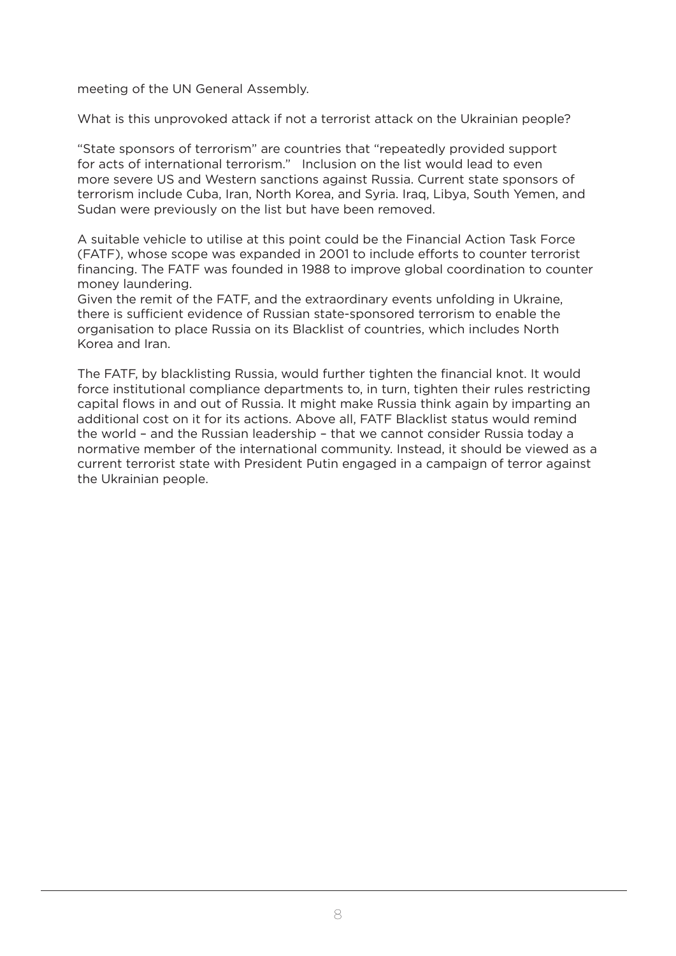meeting of the UN General Assembly.

What is this unprovoked attack if not a terrorist attack on the Ukrainian people?

"State sponsors of terrorism" are countries that "repeatedly provided support for acts of international terrorism." Inclusion on the list would lead to even more severe US and Western sanctions against Russia. Current state sponsors of terrorism include Cuba, Iran, North Korea, and Syria. Iraq, Libya, South Yemen, and Sudan were previously on the list but have been removed.

A suitable vehicle to utilise at this point could be the Financial Action Task Force (FATF), whose scope was expanded in 2001 to include efforts to counter terrorist financing. The FATF was founded in 1988 to improve global coordination to counter money laundering.

Given the remit of the FATF, and the extraordinary events unfolding in Ukraine, there is sufficient evidence of Russian state-sponsored terrorism to enable the organisation to place Russia on its Blacklist of countries, which includes North Korea and Iran.

The FATF, by blacklisting Russia, would further tighten the financial knot. It would force institutional compliance departments to, in turn, tighten their rules restricting capital flows in and out of Russia. It might make Russia think again by imparting an additional cost on it for its actions. Above all, FATF Blacklist status would remind the world – and the Russian leadership – that we cannot consider Russia today a normative member of the international community. Instead, it should be viewed as a current terrorist state with President Putin engaged in a campaign of terror against the Ukrainian people.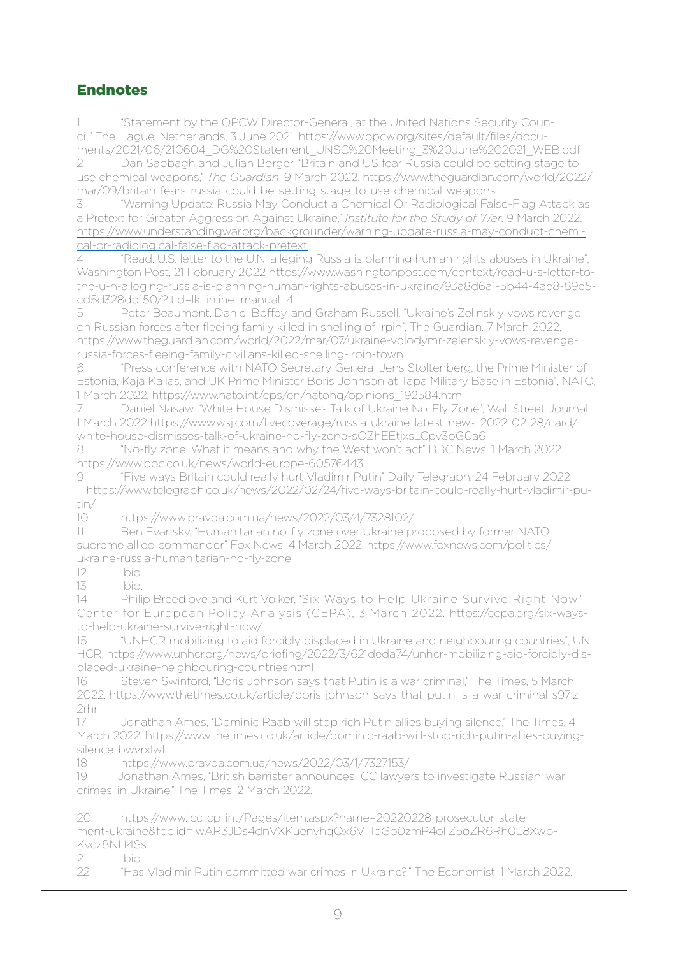## Endnotes

1 "Statement by the OPCW Director-General, at the United Nations Security Council," The Hague, Netherlands, 3 June 2021. https://www.opcw.org/sites/default/files/documents/2021/06/210604\_DG%20Statement\_UNSC%20Meeting\_3%20June%202021\_WEB.pdf

2 Dan Sabbagh and Julian Borger, "Britain and US fear Russia could be setting stage to use chemical weapons," *The Guardian*, 9 March 2022. https://www.theguardian.com/world/2022/ mar/09/britain-fears-russia-could-be-setting-stage-to-use-chemical-weapons

3 "Warning Update: Russia May Conduct a Chemical Or Radiological False-Flag Attack as a Pretext for Greater Aggression Against Ukraine," *Institute for the Study of War*, 9 March 2022. https://www.understandingwar.org/backgrounder/warning-update-russia-may-conduct-chemical-or-radiological-false-flag-attack-pretext

4 "Read: U.S. letter to the U.N. alleging Russia is planning human rights abuses in Ukraine", Washington Post, 21 February 2022 https://www.washingtonpost.com/context/read-u-s-letter-tothe-u-n-alleging-russia-is-planning-human-rights-abuses-in-ukraine/93a8d6a1-5b44-4ae8-89e5 cd5d328dd150/?itid=lk\_inline\_manual\_4

5 Peter Beaumont, Daniel Boffey, and Graham Russell, "Ukraine's Zelinskiy vows revenge on Russian forces after fleeing family killed in shelling of Irpin", The Guardian, 7 March 2022, https://www.theguardian.com/world/2022/mar/07/ukraine-volodymr-zelenskiy-vows-revengerussia-forces-fleeing-family-civilians-killed-shelling-irpin-town.

6 "Press conference with NATO Secretary General Jens Stoltenberg, the Prime Minister of Estonia, Kaja Kallas, and UK Prime Minister Boris Johnson at Tapa Military Base in Estonia", NATO, 1 March 2022, https://www.nato.int/cps/en/natohq/opinions\_192584.htm

Daniel Nasaw, "White House Dismisses Talk of Ukraine No-Fly Zone", Wall Street Journal, 1 March 2022 https://www.wsj.com/livecoverage/russia-ukraine-latest-news-2022-02-28/card/ white-house-dismisses-talk-of-ukraine-no-fly-zone-sOZhEEtjxsLCpv3pG0a6

8 "No-fly zone: What it means and why the West won't act" BBC News, 1 March 2022 https://www.bbc.co.uk/news/world-europe-60576443

9 "Five ways Britain could really hurt Vladimir Putin" Daily Telegraph, 24 February 2022 https://www.telegraph.co.uk/news/2022/02/24/five-ways-britain-could-really-hurt-vladimir-putin/

10 https://www.pravda.com.ua/news/2022/03/4/7328102/

11 Ben Evansky, "Humanitarian no-fly zone over Ukraine proposed by former NATO supreme allied commander," Fox News, 4 March 2022. https://www.foxnews.com/politics/ ukraine-russia-humanitarian-no-fly-zone

12 Ibid.

13 Ibid.

14 Philip Breedlove and Kurt Volker, "Six Ways to Help Ukraine Survive Right Now," Center for European Policy Analysis (CEPA), 3 March 2022. https://cepa.org/six-waysto-help-ukraine-survive-right-now/

15 "UNHCR mobilizing to aid forcibly displaced in Ukraine and neighbouring countries", UN-HCR, https://www.unhcr.org/news/briefing/2022/3/621deda74/unhcr-mobilizing-aid-forcibly-displaced-ukraine-neighbouring-countries.html

16 Steven Swinford, "Boris Johnson says that Putin is a war criminal," The Times, 5 March 2022. https://www.thetimes.co.uk/article/boris-johnson-says-that-putin-is-a-war-criminal-s97lz-2rhr

17 Jonathan Ames, "Dominic Raab will stop rich Putin allies buying silence," The Times, 4 March 2022. https://www.thetimes.co.uk/article/dominic-raab-will-stop-rich-putin-allies-buyingsilence-bwvrxlwll

18 https://www.pravda.com.ua/news/2022/03/1/7327153/

19 Jonathan Ames, "British barrister announces ICC lawyers to investigate Russian 'war crimes' in Ukraine," The Times, 2 March 2022.

20 https://www.icc-cpi.int/Pages/item.aspx?name=20220228-prosecutor-state-

ment-ukraine&fbclid=IwAR3JDs4dnVXKuenvhqQx6VTIoGo0zmP4oliZ5oZR6Rh0L8Xwp-Kvcz8NH4Ss

21 Ibid.

22 "Has Vladimir Putin committed war crimes in Ukraine?," The Economist, 1 March 2022.